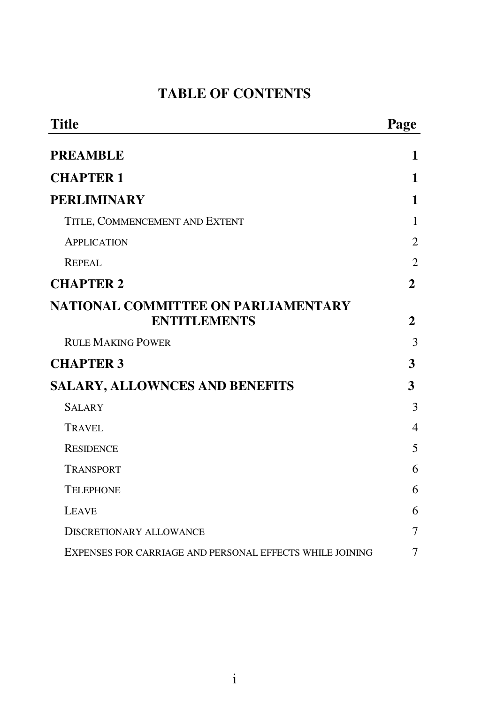## **TABLE OF CONTENTS**

| <b>Title</b>                                               | Page           |
|------------------------------------------------------------|----------------|
| <b>PREAMBLE</b>                                            | 1              |
| <b>CHAPTER 1</b>                                           | 1              |
| <b>PERLIMINARY</b>                                         | 1              |
| TITLE, COMMENCEMENT AND EXTENT                             | 1              |
| <b>APPLICATION</b>                                         | $\overline{2}$ |
| REPEAL                                                     | $\overline{2}$ |
| <b>CHAPTER 2</b>                                           | 2              |
| NATIONAL COMMITTEE ON PARLIAMENTARY<br><b>ENTITLEMENTS</b> | 2              |
| <b>RULE MAKING POWER</b>                                   | 3              |
| <b>CHAPTER 3</b>                                           | 3              |
| <b>SALARY, ALLOWNCES AND BENEFITS</b>                      | 3              |
| <b>SALARY</b>                                              | 3              |
| TRAVEL                                                     | $\overline{4}$ |
| <b>RESIDENCE</b>                                           | 5              |
| <b>TRANSPORT</b>                                           | 6              |
| <b>TELEPHONE</b>                                           | 6              |
| <b>LEAVE</b>                                               | 6              |
| <b>DISCRETIONARY ALLOWANCE</b>                             | 7              |
| EXPENSES FOR CARRIAGE AND PERSONAL EFFECTS WHILE JOINING   | 7              |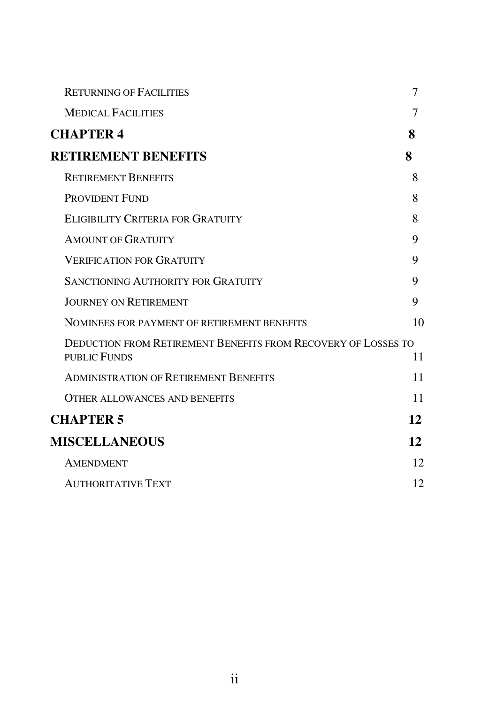| <b>RETURNING OF FACILITIES</b>                                                       | 7  |
|--------------------------------------------------------------------------------------|----|
| <b>MEDICAL FACILITIES</b>                                                            |    |
| <b>CHAPTER 4</b>                                                                     | 8  |
| <b>RETIREMENT BENEFITS</b>                                                           | 8  |
| <b>RETIREMENT BENEFITS</b>                                                           | 8  |
| PROVIDENT FUND                                                                       | 8  |
| ELIGIBILITY CRITERIA FOR GRATUITY                                                    | 8  |
| <b>AMOUNT OF GRATUITY</b>                                                            | 9  |
| <b>VERIFICATION FOR GRATUITY</b>                                                     | 9  |
| <b>SANCTIONING AUTHORITY FOR GRATUITY</b>                                            | 9  |
| <b>JOURNEY ON RETIREMENT</b>                                                         | 9  |
| NOMINEES FOR PAYMENT OF RETIREMENT BENEFITS                                          | 10 |
| <b>DEDUCTION FROM RETIREMENT BENEFITS FROM RECOVERY OF LOSSES TO</b><br>PUBLIC FUNDS | 11 |
| <b>ADMINISTRATION OF RETIREMENT BENEFITS</b>                                         | 11 |
| <b>OTHER ALLOWANCES AND BENEFITS</b>                                                 | 11 |
| <b>CHAPTER 5</b>                                                                     | 12 |
| <b>MISCELLANEOUS</b>                                                                 | 12 |
| <b>AMENDMENT</b>                                                                     | 12 |
| <b>AUTHORITATIVE TEXT</b>                                                            | 12 |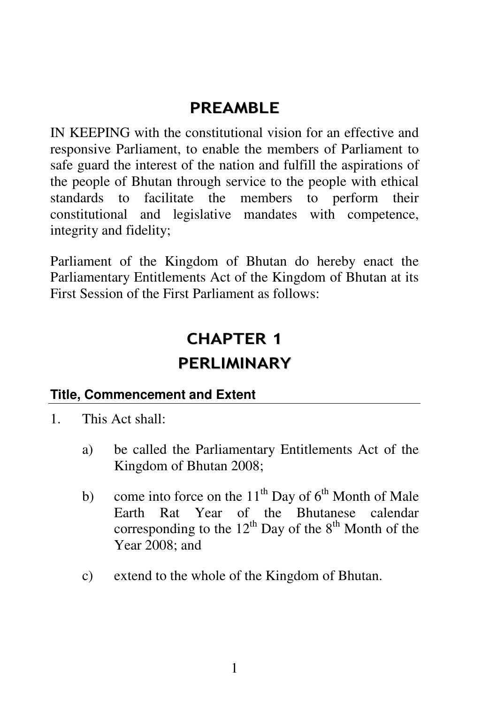# PRFAMBI F

IN KEEPING with the constitutional vision for an effective and responsive Parliament, to enable the members of Parliament to safe guard the interest of the nation and fulfill the aspirations of the people of Bhutan through service to the people with ethical standards to facilitate the members to perform their constitutional and legislative mandates with competence, integrity and fidelity;

Parliament of the Kingdom of Bhutan do hereby enact the Parliamentary Entitlements Act of the Kingdom of Bhutan at its First Session of the First Parliament as follows:

# CHAPTER 1

# PERLIMINARY

### **Title, Commencement and Extent**

- 1. This Act shall:
	- a) be called the Parliamentary Entitlements Act of the Kingdom of Bhutan 2008;
	- b) come into force on the  $11<sup>th</sup>$  Day of  $6<sup>th</sup>$  Month of Male Earth Rat Year of the Bhutanese calendar corresponding to the  $12^{th}$  Day of the  $8^{th}$  Month of the Year 2008; and
	- c) extend to the whole of the Kingdom of Bhutan.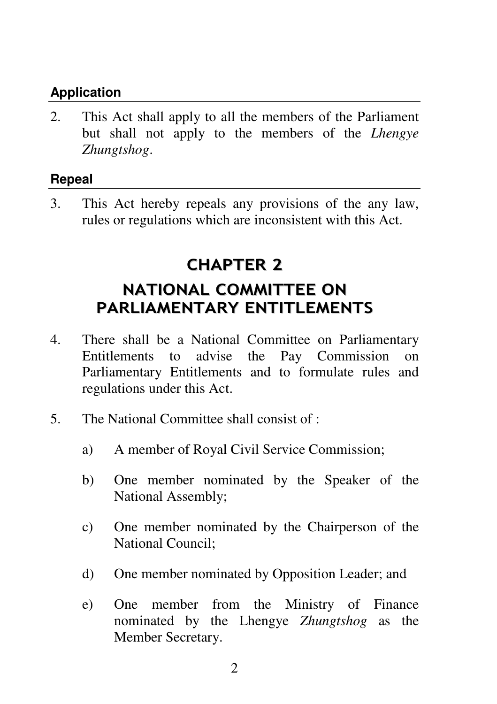### **Application**

2. This Act shall apply to all the members of the Parliament but shall not apply to the members of the *Lhengye Zhungtshog*.

### **Repeal**

3. This Act hereby repeals any provisions of the any law, rules or regulations which are inconsistent with this Act.

# CHAPTER 2

# NATIONAL COMMITTEE ON PARLIAMENTARY ENTITLEMENTS

- 4. There shall be a National Committee on Parliamentary Entitlements to advise the Pay Commission on Parliamentary Entitlements and to formulate rules and regulations under this Act.
- 5. The National Committee shall consist of :
	- a) A member of Royal Civil Service Commission;
	- b) One member nominated by the Speaker of the National Assembly;
	- c) One member nominated by the Chairperson of the National Council;
	- d) One member nominated by Opposition Leader; and
	- e) One member from the Ministry of Finance nominated by the Lhengye *Zhungtshog* as the Member Secretary.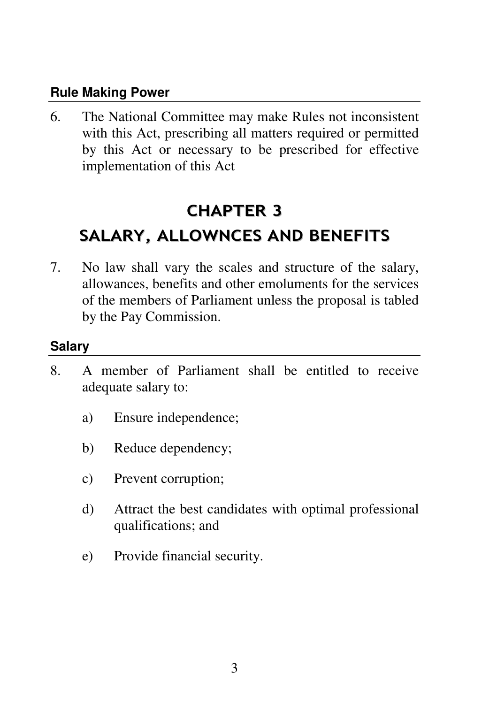#### **Rule Making Power**

6. The National Committee may make Rules not inconsistent with this Act, prescribing all matters required or permitted by this Act or necessary to be prescribed for effective implementation of this Act

# CHAPTER 3 SALARY, ALLOWNCES AND BENEFITS

7. No law shall vary the scales and structure of the salary, allowances, benefits and other emoluments for the services of the members of Parliament unless the proposal is tabled by the Pay Commission.

### **Salary**

- 8. A member of Parliament shall be entitled to receive adequate salary to:
	- a) Ensure independence;
	- b) Reduce dependency;
	- c) Prevent corruption;
	- d) Attract the best candidates with optimal professional qualifications; and
	- e) Provide financial security.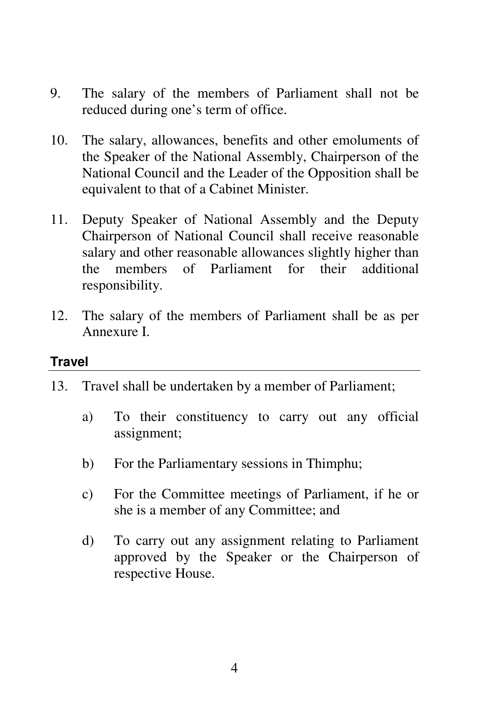- 9. The salary of the members of Parliament shall not be reduced during one's term of office.
- 10. The salary, allowances, benefits and other emoluments of the Speaker of the National Assembly, Chairperson of the National Council and the Leader of the Opposition shall be equivalent to that of a Cabinet Minister.
- 11. Deputy Speaker of National Assembly and the Deputy Chairperson of National Council shall receive reasonable salary and other reasonable allowances slightly higher than the members of Parliament for their additional responsibility.
- 12. The salary of the members of Parliament shall be as per Annexure I.

#### **Travel**

- 13. Travel shall be undertaken by a member of Parliament;
	- a) To their constituency to carry out any official assignment;
	- b) For the Parliamentary sessions in Thimphu;
	- c) For the Committee meetings of Parliament, if he or she is a member of any Committee; and
	- d) To carry out any assignment relating to Parliament approved by the Speaker or the Chairperson of respective House.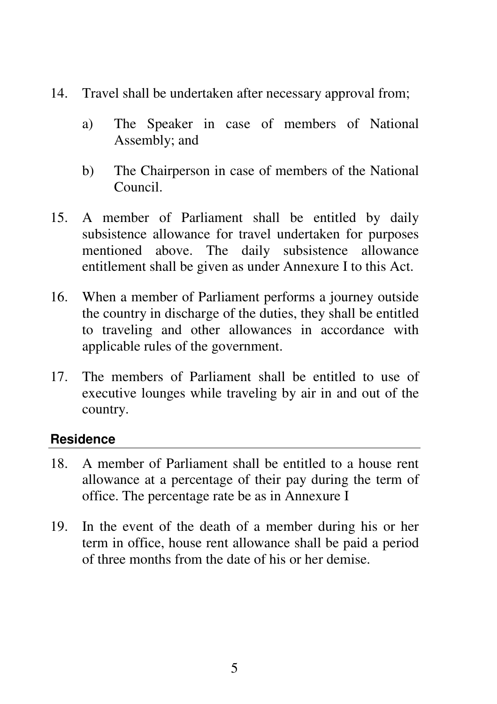- 14. Travel shall be undertaken after necessary approval from;
	- a) The Speaker in case of members of National Assembly; and
	- b) The Chairperson in case of members of the National Council.
- 15. A member of Parliament shall be entitled by daily subsistence allowance for travel undertaken for purposes mentioned above. The daily subsistence allowance entitlement shall be given as under Annexure I to this Act.
- 16. When a member of Parliament performs a journey outside the country in discharge of the duties, they shall be entitled to traveling and other allowances in accordance with applicable rules of the government.
- 17. The members of Parliament shall be entitled to use of executive lounges while traveling by air in and out of the country.

### **Residence**

- 18. A member of Parliament shall be entitled to a house rent allowance at a percentage of their pay during the term of office. The percentage rate be as in Annexure I
- 19. In the event of the death of a member during his or her term in office, house rent allowance shall be paid a period of three months from the date of his or her demise.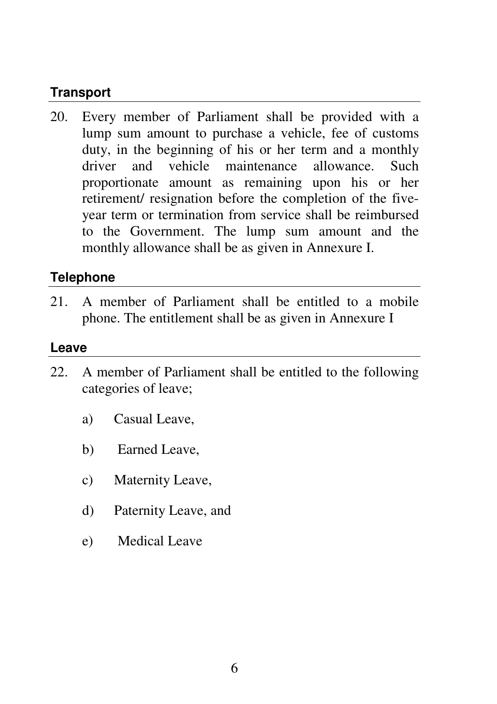### **Transport**

20. Every member of Parliament shall be provided with a lump sum amount to purchase a vehicle, fee of customs duty, in the beginning of his or her term and a monthly driver and vehicle maintenance allowance. Such proportionate amount as remaining upon his or her retirement/ resignation before the completion of the fiveyear term or termination from service shall be reimbursed to the Government. The lump sum amount and the monthly allowance shall be as given in Annexure I.

### **Telephone**

21. A member of Parliament shall be entitled to a mobile phone. The entitlement shall be as given in Annexure I

#### **Leave**

- 22. A member of Parliament shall be entitled to the following categories of leave;
	- a) Casual Leave,
	- b) Earned Leave,
	- c) Maternity Leave,
	- d) Paternity Leave, and
	- e) Medical Leave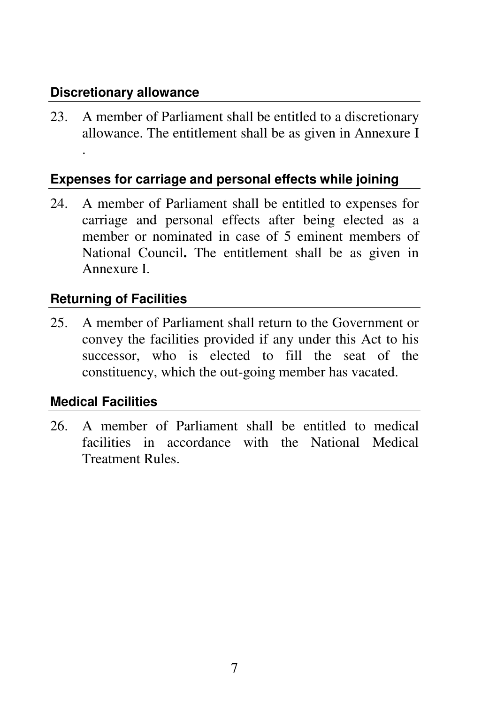### **Discretionary allowance**

.

23. A member of Parliament shall be entitled to a discretionary allowance. The entitlement shall be as given in Annexure I

## **Expenses for carriage and personal effects while joining**

24. A member of Parliament shall be entitled to expenses for carriage and personal effects after being elected as a member or nominated in case of 5 eminent members of National Council**.** The entitlement shall be as given in Annexure I.

## **Returning of Facilities**

25. A member of Parliament shall return to the Government or convey the facilities provided if any under this Act to his successor, who is elected to fill the seat of the constituency, which the out-going member has vacated.

### **Medical Facilities**

26. A member of Parliament shall be entitled to medical facilities in accordance with the National Medical Treatment Rules.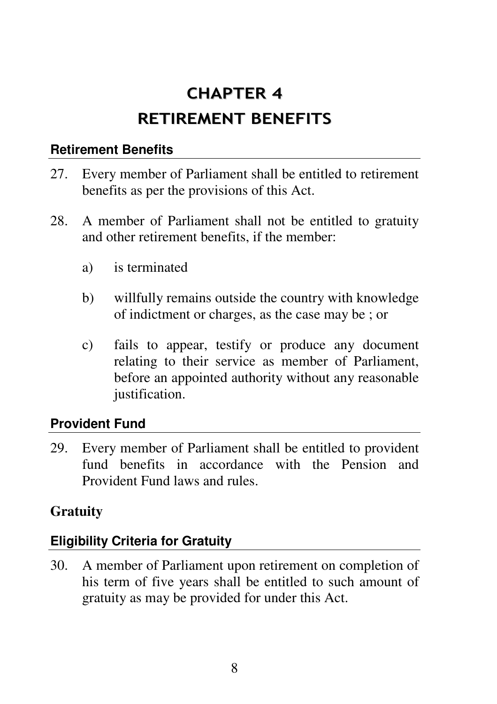# CHAPTER 4 RETIREMENT BENEFITS

### **Retirement Benefits**

- 27. Every member of Parliament shall be entitled to retirement benefits as per the provisions of this Act.
- 28. A member of Parliament shall not be entitled to gratuity and other retirement benefits, if the member:
	- a) is terminated
	- b) willfully remains outside the country with knowledge of indictment or charges, as the case may be ; or
	- c) fails to appear, testify or produce any document relating to their service as member of Parliament, before an appointed authority without any reasonable justification.

### **Provident Fund**

29. Every member of Parliament shall be entitled to provident fund benefits in accordance with the Pension and Provident Fund laws and rules.

### **Gratuity**

### **Eligibility Criteria for Gratuity**

30. A member of Parliament upon retirement on completion of his term of five years shall be entitled to such amount of gratuity as may be provided for under this Act.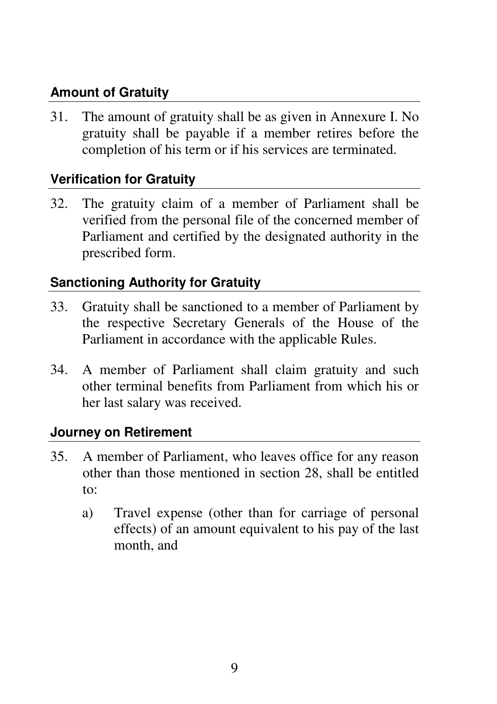## **Amount of Gratuity**

31. The amount of gratuity shall be as given in Annexure I. No gratuity shall be payable if a member retires before the completion of his term or if his services are terminated.

## **Verification for Gratuity**

32. The gratuity claim of a member of Parliament shall be verified from the personal file of the concerned member of Parliament and certified by the designated authority in the prescribed form.

### **Sanctioning Authority for Gratuity**

- 33. Gratuity shall be sanctioned to a member of Parliament by the respective Secretary Generals of the House of the Parliament in accordance with the applicable Rules.
- 34. A member of Parliament shall claim gratuity and such other terminal benefits from Parliament from which his or her last salary was received.

### **Journey on Retirement**

- 35. A member of Parliament, who leaves office for any reason other than those mentioned in section 28, shall be entitled to:
	- a) Travel expense (other than for carriage of personal effects) of an amount equivalent to his pay of the last month, and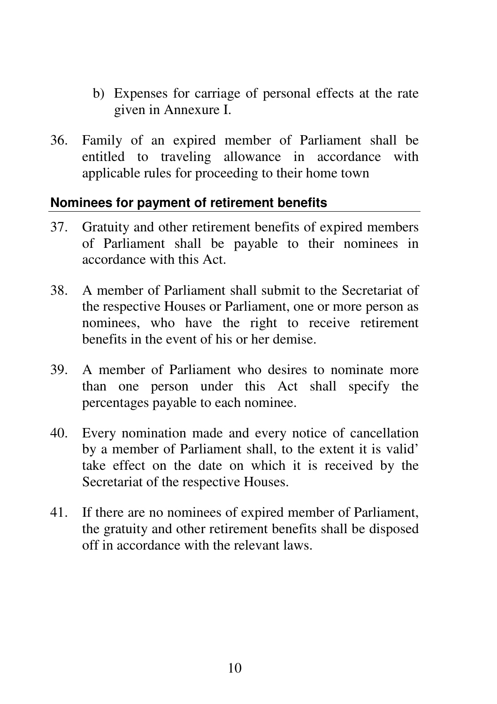- b) Expenses for carriage of personal effects at the rate given in Annexure I.
- 36. Family of an expired member of Parliament shall be entitled to traveling allowance in accordance with applicable rules for proceeding to their home town

### **Nominees for payment of retirement benefits**

- 37. Gratuity and other retirement benefits of expired members of Parliament shall be payable to their nominees in accordance with this Act.
- 38. A member of Parliament shall submit to the Secretariat of the respective Houses or Parliament, one or more person as nominees, who have the right to receive retirement benefits in the event of his or her demise.
- 39. A member of Parliament who desires to nominate more than one person under this Act shall specify the percentages payable to each nominee.
- 40. Every nomination made and every notice of cancellation by a member of Parliament shall, to the extent it is valid' take effect on the date on which it is received by the Secretariat of the respective Houses.
- 41. If there are no nominees of expired member of Parliament, the gratuity and other retirement benefits shall be disposed off in accordance with the relevant laws.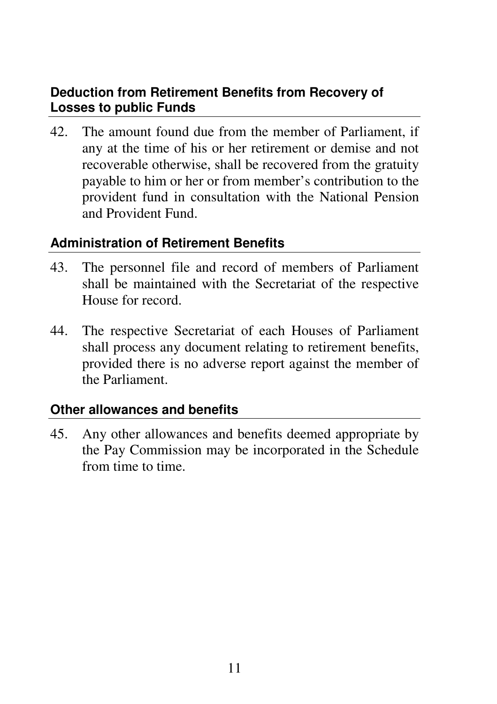### **Deduction from Retirement Benefits from Recovery of Losses to public Funds**

42. The amount found due from the member of Parliament, if any at the time of his or her retirement or demise and not recoverable otherwise, shall be recovered from the gratuity payable to him or her or from member's contribution to the provident fund in consultation with the National Pension and Provident Fund.

### **Administration of Retirement Benefits**

- 43. The personnel file and record of members of Parliament shall be maintained with the Secretariat of the respective House for record.
- 44. The respective Secretariat of each Houses of Parliament shall process any document relating to retirement benefits, provided there is no adverse report against the member of the Parliament.

### **Other allowances and benefits**

45. Any other allowances and benefits deemed appropriate by the Pay Commission may be incorporated in the Schedule from time to time.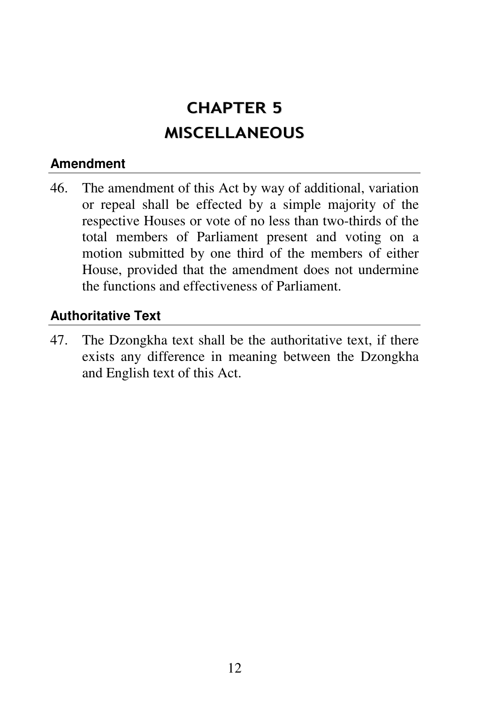# CHAPTER 5 MISCELLANEOUS

### **Amendment**

46. The amendment of this Act by way of additional, variation or repeal shall be effected by a simple majority of the respective Houses or vote of no less than two-thirds of the total members of Parliament present and voting on a motion submitted by one third of the members of either House, provided that the amendment does not undermine the functions and effectiveness of Parliament.

### **Authoritative Text**

47. The Dzongkha text shall be the authoritative text, if there exists any difference in meaning between the Dzongkha and English text of this Act.